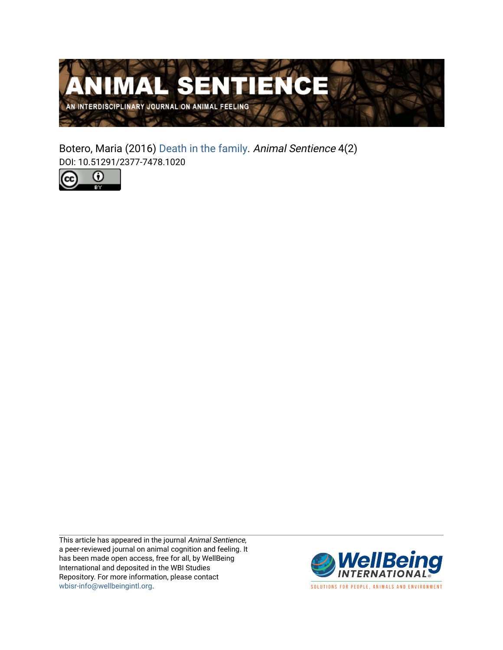

Botero, Maria (2016) [Death in the family](https://www.wellbeingintlstudiesrepository.org/animsent/vol1/iss4/2). Animal Sentience 4(2) DOI: 10.51291/2377-7478.1020



This article has appeared in the journal Animal Sentience, a peer-reviewed journal on animal cognition and feeling. It has been made open access, free for all, by WellBeing International and deposited in the WBI Studies Repository. For more information, please contact [wbisr-info@wellbeingintl.org](mailto:wbisr-info@wellbeingintl.org).



SOLUTIONS FOR PEOPLE, ANIMALS AND ENVIRONMENT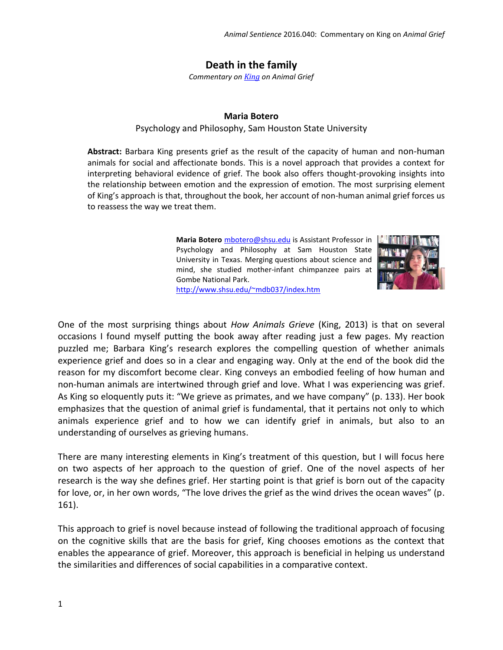## **Death in the family**

*Commentary on [King](http://animalstudiesrepository.org/animsent/vol1/iss4/1/) on Animal Grief*

## **Maria Botero**

## Psychology and Philosophy, Sam Houston State University

**Abstract:** Barbara King presents grief as the result of the capacity of human and non-human animals for social and affectionate bonds. This is a novel approach that provides a context for interpreting behavioral evidence of grief. The book also offers thought-provoking insights into the relationship between emotion and the expression of emotion. The most surprising element of King's approach is that, throughout the book, her account of non-human animal grief forces us to reassess the way we treat them.

> **Maria Botero** [mbotero@shsu.edu](file:///C:/Users/Ann/AppData/Local/Temp/mbotero@shsu.edu) is Assistant Professor in Psychology and Philosophy at Sam Houston State University in Texas. Merging questions about science and mind, she studied mother-infant chimpanzee pairs at Gombe National Park.



<http://www.shsu.edu/~mdb037/index.htm>

One of the most surprising things about *How Animals Grieve* (King, 2013) is that on several occasions I found myself putting the book away after reading just a few pages. My reaction puzzled me; Barbara King's research explores the compelling question of whether animals experience grief and does so in a clear and engaging way. Only at the end of the book did the reason for my discomfort become clear. King conveys an embodied feeling of how human and non-human animals are intertwined through grief and love. What I was experiencing was grief. As King so eloquently puts it: "We grieve as primates, and we have company" (p. 133). Her book emphasizes that the question of animal grief is fundamental, that it pertains not only to which animals experience grief and to how we can identify grief in animals, but also to an understanding of ourselves as grieving humans.

There are many interesting elements in King's treatment of this question, but I will focus here on two aspects of her approach to the question of grief. One of the novel aspects of her research is the way she defines grief. Her starting point is that grief is born out of the capacity for love, or, in her own words, "The love drives the grief as the wind drives the ocean waves" (p. 161).

This approach to grief is novel because instead of following the traditional approach of focusing on the cognitive skills that are the basis for grief, King chooses emotions as the context that enables the appearance of grief. Moreover, this approach is beneficial in helping us understand the similarities and differences of social capabilities in a comparative context.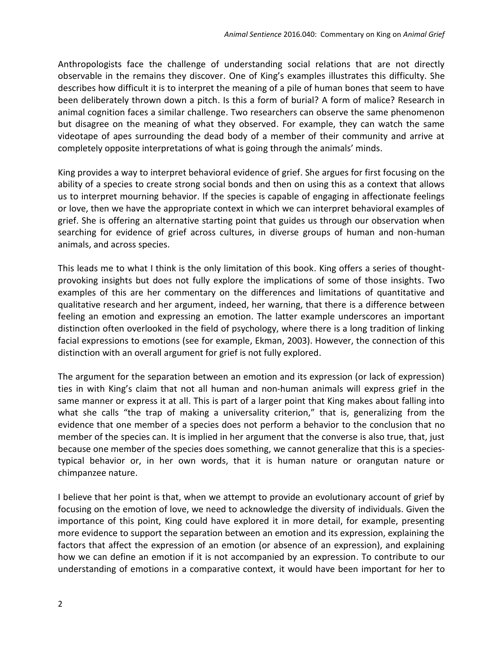Anthropologists face the challenge of understanding social relations that are not directly observable in the remains they discover. One of King's examples illustrates this difficulty. She describes how difficult it is to interpret the meaning of a pile of human bones that seem to have been deliberately thrown down a pitch. Is this a form of burial? A form of malice? Research in animal cognition faces a similar challenge. Two researchers can observe the same phenomenon but disagree on the meaning of what they observed. For example, they can watch the same videotape of apes surrounding the dead body of a member of their community and arrive at completely opposite interpretations of what is going through the animals' minds.

King provides a way to interpret behavioral evidence of grief. She argues for first focusing on the ability of a species to create strong social bonds and then on using this as a context that allows us to interpret mourning behavior. If the species is capable of engaging in affectionate feelings or love, then we have the appropriate context in which we can interpret behavioral examples of grief. She is offering an alternative starting point that guides us through our observation when searching for evidence of grief across cultures, in diverse groups of human and non-human animals, and across species.

This leads me to what I think is the only limitation of this book. King offers a series of thought‐ provoking insights but does not fully explore the implications of some of those insights. Two examples of this are her commentary on the differences and limitations of quantitative and qualitative research and her argument, indeed, her warning, that there is a difference between feeling an emotion and expressing an emotion. The latter example underscores an important distinction often overlooked in the field of psychology, where there is a long tradition of linking facial expressions to emotions (see for example, Ekman, 2003). However, the connection of this distinction with an overall argument for grief is not fully explored.

The argument for the separation between an emotion and its expression (or lack of expression) ties in with King's claim that not all human and non-human animals will express grief in the same manner or express it at all. This is part of a larger point that King makes about falling into what she calls "the trap of making a universality criterion," that is, generalizing from the evidence that one member of a species does not perform a behavior to the conclusion that no member of the species can. It is implied in her argument that the converse is also true, that, just because one member of the species does something, we cannot generalize that this is a speciestypical behavior or, in her own words, that it is human nature or orangutan nature or chimpanzee nature.

I believe that her point is that, when we attempt to provide an evolutionary account of grief by focusing on the emotion of love, we need to acknowledge the diversity of individuals. Given the importance of this point, King could have explored it in more detail, for example, presenting more evidence to support the separation between an emotion and its expression, explaining the factors that affect the expression of an emotion (or absence of an expression), and explaining how we can define an emotion if it is not accompanied by an expression. To contribute to our understanding of emotions in a comparative context, it would have been important for her to